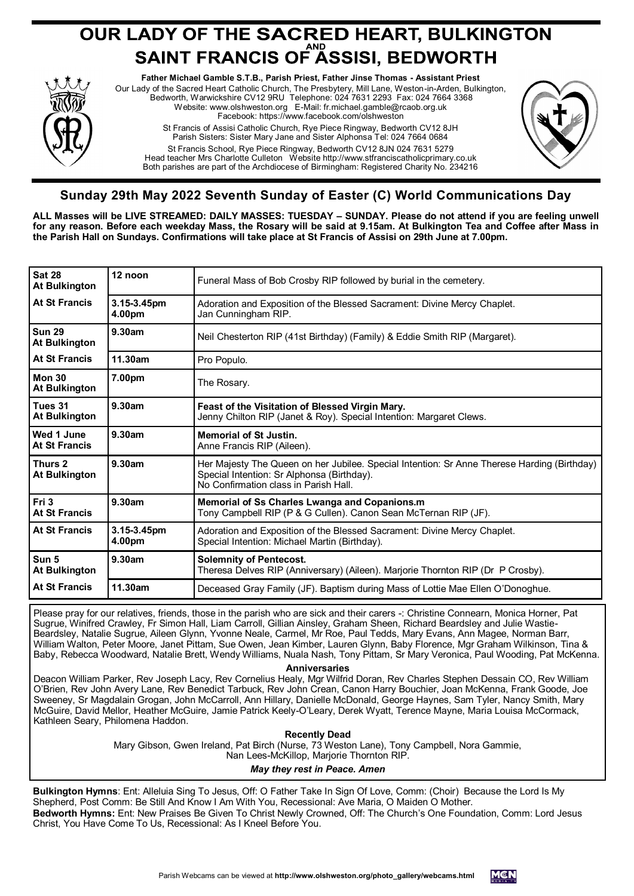# **OUR LADY OF THE SACRED HEART, BULKINGTON<br>SAINT FRANCIS OF ASSISI, BEDWORTH**



**Father Michael Gamble S.T.B., Parish Priest, Father Jinse Thomas - Assistant Priest** Our Lady of the Sacred Heart Catholic Church, The Presbytery, Mill Lane, Weston-in-Arden, Bulkington, Bedworth, Warwickshire CV12 9RU Telephone: 024 7631 2293 Fax: 024 7664 3368 Website: www.olshweston.org E-Mail: fr.michael.gamble@rcaob.org.uk Facebook: https://www.facebook.com/olshweston St Francis of Assisi Catholic Church, Rye Piece Ringway, Bedworth CV12 8JH Parish Sisters: Sister Mary Jane and Sister Alphonsa Tel: 024 7664 0684 St Francis School, Rye Piece Ringway, Bedworth CV12 8JN 024 7631 5279 Head teacher Mrs Charlotte Culleton Website http://www.stfranciscatholicprimary.co.uk Both parishes are part of the Archdiocese of Birmingham: Registered Charity No. 234216



# **Sunday 29th May 2022 Seventh Sunday of Easter (C) World Communications Day**

**ALL Masses will be LIVE STREAMED: DAILY MASSES: TUESDAY – SUNDAY. Please do not attend if you are feeling unwell for any reason. Before each weekday Mass, the Rosary will be said at 9.15am. At Bulkington Tea and Coffee after Mass in the Parish Hall on Sundays. Confirmations will take place at St Francis of Assisi on 29th June at 7.00pm.**

| Sat 28<br>12 noon<br>Funeral Mass of Bob Crosby RIP followed by burial in the cemetery.<br><b>At Bulkington</b><br>At St Francis<br>3.15-3.45pm<br>Adoration and Exposition of the Blessed Sacrament: Divine Mercy Chaplet.<br>4.00pm<br>Jan Cunningham RIP.<br>Sun 29<br>9.30am<br>Neil Chesterton RIP (41st Birthday) (Family) & Eddie Smith RIP (Margaret).<br><b>At Bulkington</b><br><b>At St Francis</b><br>11.30am<br>Pro Populo.<br>Mon 30<br>7.00pm<br>The Rosary.<br><b>At Bulkington</b><br>9.30am<br>Tues 31<br>Feast of the Visitation of Blessed Virgin Mary.<br><b>At Bulkington</b><br>Jenny Chilton RIP (Janet & Roy). Special Intention: Margaret Clews.<br>9.30am<br>Wed 1 June<br><b>Memorial of St Justin.</b><br><b>At St Francis</b><br>Anne Francis RIP (Aileen).<br>9.30am<br>Thurs 2<br>Her Majesty The Queen on her Jubilee. Special Intention: Sr Anne Therese Harding (Birthday)<br>Special Intention: Sr Alphonsa (Birthday).<br><b>At Bulkington</b><br>No Confirmation class in Parish Hall.<br>Fri 3<br>9.30am<br><b>Memorial of Ss Charles Lwanga and Copanions.m</b><br>Tony Campbell RIP (P & G Cullen). Canon Sean McTernan RIP (JF).<br><b>At St Francis</b><br><b>At St Francis</b><br>3.15-3.45pm<br>Adoration and Exposition of the Blessed Sacrament: Divine Mercy Chaplet.<br>4.00pm<br>Special Intention: Michael Martin (Birthday).<br>Sun 5<br>9.30am<br><b>Solemnity of Pentecost.</b><br>Theresa Delves RIP (Anniversary) (Aileen). Marjorie Thornton RIP (Dr P Crosby).<br><b>At Bulkington</b><br>11.30am<br><b>At St Francis</b><br>Deceased Gray Family (JF). Baptism during Mass of Lottie Mae Ellen O'Donoghue. |  |  |
|-----------------------------------------------------------------------------------------------------------------------------------------------------------------------------------------------------------------------------------------------------------------------------------------------------------------------------------------------------------------------------------------------------------------------------------------------------------------------------------------------------------------------------------------------------------------------------------------------------------------------------------------------------------------------------------------------------------------------------------------------------------------------------------------------------------------------------------------------------------------------------------------------------------------------------------------------------------------------------------------------------------------------------------------------------------------------------------------------------------------------------------------------------------------------------------------------------------------------------------------------------------------------------------------------------------------------------------------------------------------------------------------------------------------------------------------------------------------------------------------------------------------------------------------------------------------------------------------------------------------------------------------------------------------------|--|--|
|                                                                                                                                                                                                                                                                                                                                                                                                                                                                                                                                                                                                                                                                                                                                                                                                                                                                                                                                                                                                                                                                                                                                                                                                                                                                                                                                                                                                                                                                                                                                                                                                                                                                       |  |  |
|                                                                                                                                                                                                                                                                                                                                                                                                                                                                                                                                                                                                                                                                                                                                                                                                                                                                                                                                                                                                                                                                                                                                                                                                                                                                                                                                                                                                                                                                                                                                                                                                                                                                       |  |  |
|                                                                                                                                                                                                                                                                                                                                                                                                                                                                                                                                                                                                                                                                                                                                                                                                                                                                                                                                                                                                                                                                                                                                                                                                                                                                                                                                                                                                                                                                                                                                                                                                                                                                       |  |  |
|                                                                                                                                                                                                                                                                                                                                                                                                                                                                                                                                                                                                                                                                                                                                                                                                                                                                                                                                                                                                                                                                                                                                                                                                                                                                                                                                                                                                                                                                                                                                                                                                                                                                       |  |  |
|                                                                                                                                                                                                                                                                                                                                                                                                                                                                                                                                                                                                                                                                                                                                                                                                                                                                                                                                                                                                                                                                                                                                                                                                                                                                                                                                                                                                                                                                                                                                                                                                                                                                       |  |  |
|                                                                                                                                                                                                                                                                                                                                                                                                                                                                                                                                                                                                                                                                                                                                                                                                                                                                                                                                                                                                                                                                                                                                                                                                                                                                                                                                                                                                                                                                                                                                                                                                                                                                       |  |  |
|                                                                                                                                                                                                                                                                                                                                                                                                                                                                                                                                                                                                                                                                                                                                                                                                                                                                                                                                                                                                                                                                                                                                                                                                                                                                                                                                                                                                                                                                                                                                                                                                                                                                       |  |  |
|                                                                                                                                                                                                                                                                                                                                                                                                                                                                                                                                                                                                                                                                                                                                                                                                                                                                                                                                                                                                                                                                                                                                                                                                                                                                                                                                                                                                                                                                                                                                                                                                                                                                       |  |  |
|                                                                                                                                                                                                                                                                                                                                                                                                                                                                                                                                                                                                                                                                                                                                                                                                                                                                                                                                                                                                                                                                                                                                                                                                                                                                                                                                                                                                                                                                                                                                                                                                                                                                       |  |  |
|                                                                                                                                                                                                                                                                                                                                                                                                                                                                                                                                                                                                                                                                                                                                                                                                                                                                                                                                                                                                                                                                                                                                                                                                                                                                                                                                                                                                                                                                                                                                                                                                                                                                       |  |  |
|                                                                                                                                                                                                                                                                                                                                                                                                                                                                                                                                                                                                                                                                                                                                                                                                                                                                                                                                                                                                                                                                                                                                                                                                                                                                                                                                                                                                                                                                                                                                                                                                                                                                       |  |  |
|                                                                                                                                                                                                                                                                                                                                                                                                                                                                                                                                                                                                                                                                                                                                                                                                                                                                                                                                                                                                                                                                                                                                                                                                                                                                                                                                                                                                                                                                                                                                                                                                                                                                       |  |  |

Please pray for our relatives, friends, those in the parish who are sick and their carers -: Christine Connearn, Monica Horner, Pat Sugrue, Winifred Crawley, Fr Simon Hall, Liam Carroll, Gillian Ainsley, Graham Sheen, Richard Beardsley and Julie Wastie-Beardsley, Natalie Sugrue, Aileen Glynn, Yvonne Neale, Carmel, Mr Roe, Paul Tedds, Mary Evans, Ann Magee, Norman Barr, William Walton, Peter Moore, Janet Pittam, Sue Owen, Jean Kimber, Lauren Glynn, Baby Florence, Mgr Graham Wilkinson, Tina & Baby, Rebecca Woodward, Natalie Brett, Wendy Williams, Nuala Nash, Tony Pittam, Sr Mary Veronica, Paul Wooding, Pat McKenna.

#### **Anniversaries**

Deacon William Parker, Rev Joseph Lacy, Rev Cornelius Healy, Mgr Wilfrid Doran, Rev Charles Stephen Dessain CO, Rev William O'Brien, Rev John Avery Lane, Rev Benedict Tarbuck, Rev John Crean, Canon Harry Bouchier, Joan McKenna, Frank Goode, Joe Sweeney, Sr Magdalain Grogan, John McCarroll, Ann Hillary, Danielle McDonald, George Haynes, Sam Tyler, Nancy Smith, Mary McGuire, David Mellor, Heather McGuire, Jamie Patrick Keely-O'Leary, Derek Wyatt, Terence Mayne, Maria Louisa McCormack, Kathleen Seary, Philomena Haddon.

# **Recently Dead**

Mary Gibson, Gwen Ireland, Pat Birch (Nurse, 73 Weston Lane), Tony Campbell, Nora Gammie, Nan Lees-McKillop, Marjorie Thornton RIP.

# *May they rest in Peace. Amen*

**Bulkington Hymns**: Ent: Alleluia Sing To Jesus, Off: O Father Take In Sign Of Love, Comm: (Choir) Because the Lord Is My Shepherd, Post Comm: Be Still And Know I Am With You, Recessional: Ave Maria, O Maiden O Mother. **Bedworth Hymns:** Ent: New Praises Be Given To Christ Newly Crowned, Off: The Church's One Foundation, Comm: Lord Jesus Christ, You Have Come To Us, Recessional: As I Kneel Before You.